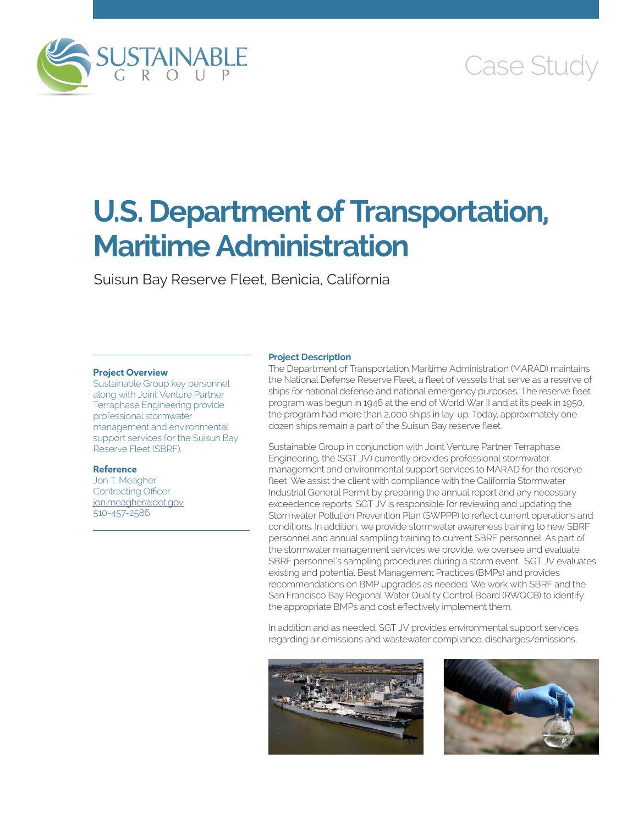

## Case Study

# **U.S. Department of Transportation, Maritime Administration**

Suisun Bay Reserve Fleet, Benicia, California

#### **Project Overview**

Sustainable Group key personnel along with Joint Venture Partner Terraphase Engineering provide professional stormwater management and environmental support services for the Suisun Bay Reserve Fleet (SBRF).

#### **Reference**

Jon T. Meagher Contracting Officer [jon.meagher@dot.gov](mailto:jon.meagher@dot.gov) 510-457-2586

#### **Project Description**

The Department of Transportation Maritime Administration (MARAD) maintains the National Defense Reserve Fleet, a fleet of vessels that serve as a reserve of ships for national defense and national emergency purposes. The reserve fleet program was begun in 1946 at the end of World War II and at its peak in 1950, the program had more than 2,000 ships in lay-up. Today, approximately one dozen ships remain a part of the Suisun Bay reserve fleet.

Sustainable Group in conjunction with Joint Venture Partner Terraphase Engineering, the (SGT JV) currently provides professional stormwater management and environmental support services to MARAD for the reserve fleet. We assist the client with compliance with the California Stormwater Industrial General Permit by preparing the annual report and any necessary exceedence reports. SGT JV is responsible for reviewing and updating the Stormwater Pollution Prevention Plan (SWPPP) to reflect current operations and conditions. In addition, we provide stormwater awareness training to new SBRF personnel and annual sampling training to current SBRF personnel. As part of the stormwater management services we provide, we oversee and evaluate SBRF personnel's sampling procedures during a storm event. SGT JV evaluates existing and potential Best Management Practices (BMPs) and provides recommendations on BMP upgrades as needed. We work with SBRF and the San Francisco Bay Regional Water Quality Control Board (RWQCB) to identify the appropriate BMPs and cost effectively implement them.

In addition and as needed, SGT JV provides environmental support services regarding air emissions and wastewater compliance, discharges/emissions,